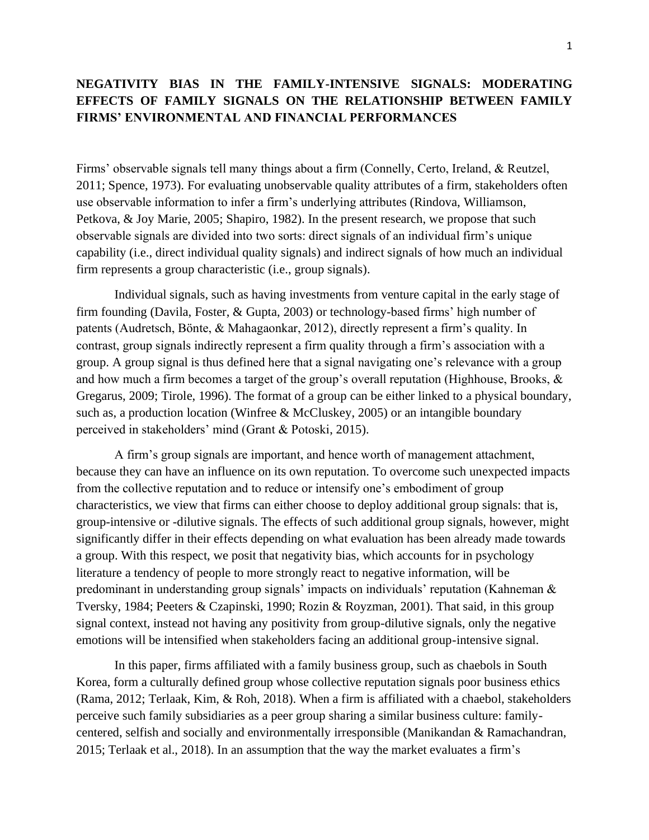## **NEGATIVITY BIAS IN THE FAMILY-INTENSIVE SIGNALS: MODERATING EFFECTS OF FAMILY SIGNALS ON THE RELATIONSHIP BETWEEN FAMILY FIRMS' ENVIRONMENTAL AND FINANCIAL PERFORMANCES**

Firms' observable signals tell many things about a firm (Connelly, Certo, Ireland, & Reutzel, 2011; Spence, 1973). For evaluating unobservable quality attributes of a firm, stakeholders often use observable information to infer a firm's underlying attributes (Rindova, Williamson, Petkova, & Joy Marie, 2005; Shapiro, 1982). In the present research, we propose that such observable signals are divided into two sorts: direct signals of an individual firm's unique capability (i.e., direct individual quality signals) and indirect signals of how much an individual firm represents a group characteristic (i.e., group signals).

Individual signals, such as having investments from venture capital in the early stage of firm founding (Davila, Foster, & Gupta, 2003) or technology-based firms' high number of patents (Audretsch, Bönte, & Mahagaonkar, 2012), directly represent a firm's quality. In contrast, group signals indirectly represent a firm quality through a firm's association with a group. A group signal is thus defined here that a signal navigating one's relevance with a group and how much a firm becomes a target of the group's overall reputation (Highhouse, Brooks, & Gregarus, 2009; Tirole, 1996). The format of a group can be either linked to a physical boundary, such as, a production location (Winfree & McCluskey, 2005) or an intangible boundary perceived in stakeholders' mind (Grant & Potoski, 2015).

A firm's group signals are important, and hence worth of management attachment, because they can have an influence on its own reputation. To overcome such unexpected impacts from the collective reputation and to reduce or intensify one's embodiment of group characteristics, we view that firms can either choose to deploy additional group signals: that is, group-intensive or -dilutive signals. The effects of such additional group signals, however, might significantly differ in their effects depending on what evaluation has been already made towards a group. With this respect, we posit that negativity bias, which accounts for in psychology literature a tendency of people to more strongly react to negative information, will be predominant in understanding group signals' impacts on individuals' reputation (Kahneman & Tversky, 1984; Peeters & Czapinski, 1990; Rozin & Royzman, 2001). That said, in this group signal context, instead not having any positivity from group-dilutive signals, only the negative emotions will be intensified when stakeholders facing an additional group-intensive signal.

In this paper, firms affiliated with a family business group, such as chaebols in South Korea, form a culturally defined group whose collective reputation signals poor business ethics (Rama, 2012; Terlaak, Kim, & Roh, 2018). When a firm is affiliated with a chaebol, stakeholders perceive such family subsidiaries as a peer group sharing a similar business culture: familycentered, selfish and socially and environmentally irresponsible (Manikandan & Ramachandran, 2015; Terlaak et al., 2018). In an assumption that the way the market evaluates a firm's